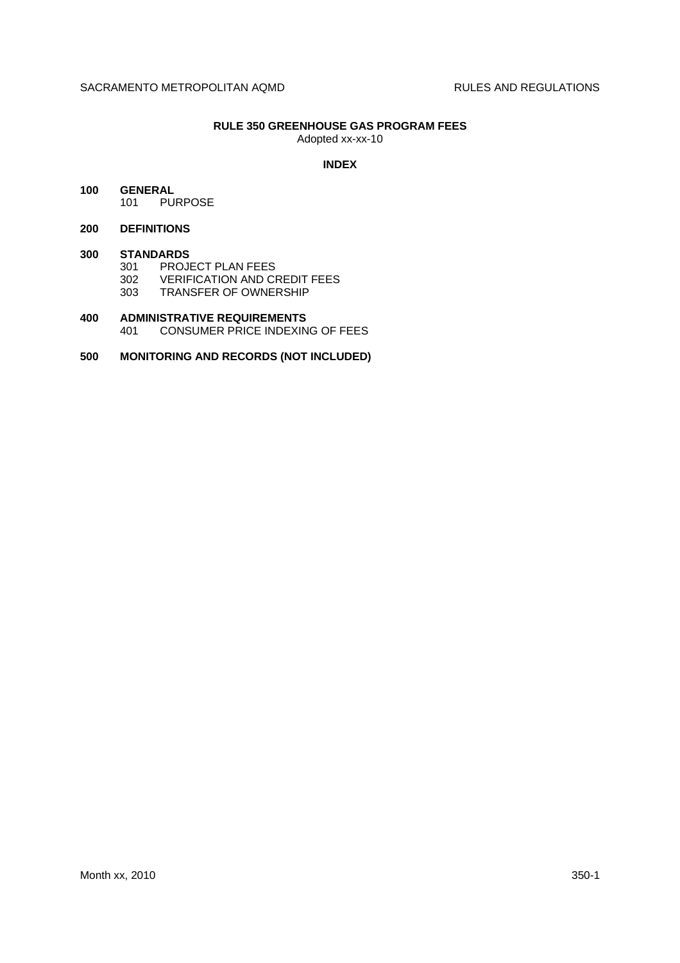# **RULE 350 GREENHOUSE GAS PROGRAM FEES**

Adopted xx-xx-10

# **INDEX**

# **100 GENERAL** 101 PURPOSE

### **200 DEFINITIONS**

### **300 STANDARDS**

301 PROJECT PLAN FEES

- 302 VERIFICATION AND CREDIT FEES
- 303 TRANSFER OF OWNERSHIP

# **400 ADMINISTRATIVE REQUIREMENTS** 401 CONSUMER PRICE INDEXING OF FEES

# **500 MONITORING AND RECORDS (NOT INCLUDED)**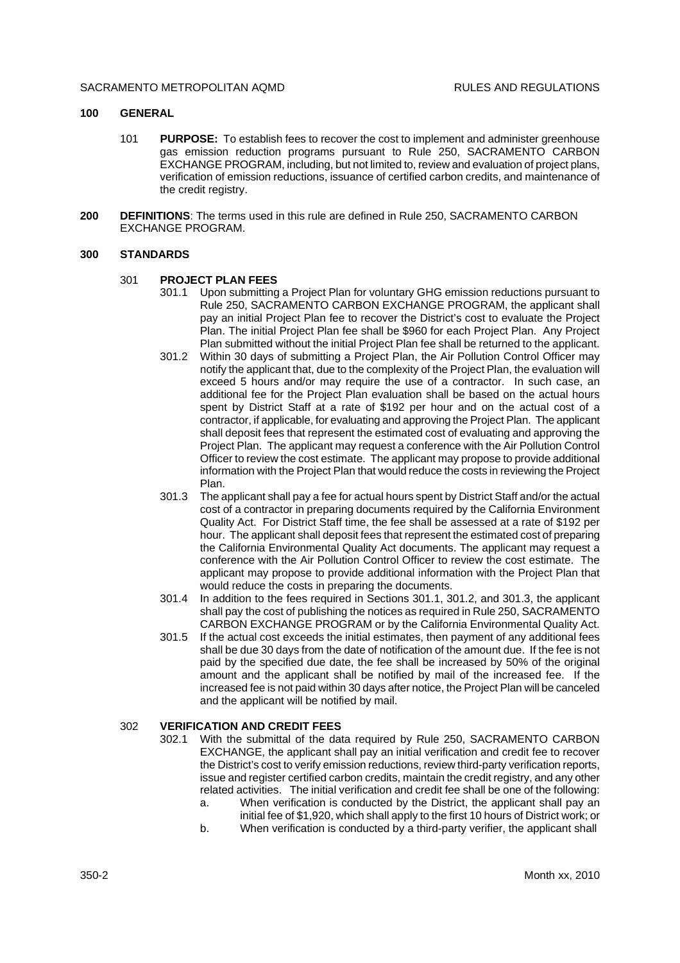#### SACRAMENTO METROPOLITAN AOMD **RULES AND REGULATIONS**

# **100 GENERAL**

- 101 **PURPOSE:** To establish fees to recover the cost to implement and administer greenhouse gas emission reduction programs pursuant to Rule 250, SACRAMENTO CARBON EXCHANGE PROGRAM, including, but not limited to, review and evaluation of project plans, verification of emission reductions, issuance of certified carbon credits, and maintenance of the credit registry.
- **200 DEFINITIONS**: The terms used in this rule are defined in Rule 250, SACRAMENTO CARBON EXCHANGE PROGRAM.

#### **300 STANDARDS**

#### 301 **PROJECT PLAN FEES**

- 301.1 Upon submitting a Project Plan for voluntary GHG emission reductions pursuant to Rule 250, SACRAMENTO CARBON EXCHANGE PROGRAM, the applicant shall pay an initial Project Plan fee to recover the District's cost to evaluate the Project Plan. The initial Project Plan fee shall be \$960 for each Project Plan. Any Project Plan submitted without the initial Project Plan fee shall be returned to the applicant.
- 301.2 Within 30 days of submitting a Project Plan, the Air Pollution Control Officer may notify the applicant that, due to the complexity of the Project Plan, the evaluation will exceed 5 hours and/or may require the use of a contractor. In such case, an additional fee for the Project Plan evaluation shall be based on the actual hours spent by District Staff at a rate of \$192 per hour and on the actual cost of a contractor, if applicable, for evaluating and approving the Project Plan. The applicant shall deposit fees that represent the estimated cost of evaluating and approving the Project Plan. The applicant may request a conference with the Air Pollution Control Officer to review the cost estimate. The applicant may propose to provide additional information with the Project Plan that would reduce the costs in reviewing the Project Plan.
- 301.3 The applicant shall pay a fee for actual hours spent by District Staff and/or the actual cost of a contractor in preparing documents required by the California Environment Quality Act. For District Staff time, the fee shall be assessed at a rate of \$192 per hour. The applicant shall deposit fees that represent the estimated cost of preparing the California Environmental Quality Act documents. The applicant may request a conference with the Air Pollution Control Officer to review the cost estimate. The applicant may propose to provide additional information with the Project Plan that would reduce the costs in preparing the documents.
- 301.4 In addition to the fees required in Sections 301.1, 301.2, and 301.3, the applicant shall pay the cost of publishing the notices as required in Rule 250, SACRAMENTO CARBON EXCHANGE PROGRAM or by the California Environmental Quality Act.
- 301.5 If the actual cost exceeds the initial estimates, then payment of any additional fees shall be due 30 days from the date of notification of the amount due. If the fee is not paid by the specified due date, the fee shall be increased by 50% of the original amount and the applicant shall be notified by mail of the increased fee. If the increased fee is not paid within 30 days after notice, the Project Plan will be canceled and the applicant will be notified by mail.

#### 302 **VERIFICATION AND CREDIT FEES**

- 302.1 With the submittal of the data required by Rule 250, SACRAMENTO CARBON EXCHANGE, the applicant shall pay an initial verification and credit fee to recover the District's cost to verify emission reductions, review third-party verification reports, issue and register certified carbon credits, maintain the credit registry, and any other related activities. The initial verification and credit fee shall be one of the following: a. When verification is conducted by the District, the applicant shall pay an
	- initial fee of \$1,920, which shall apply to the first 10 hours of District work; or
	- b. When verification is conducted by a third-party verifier, the applicant shall